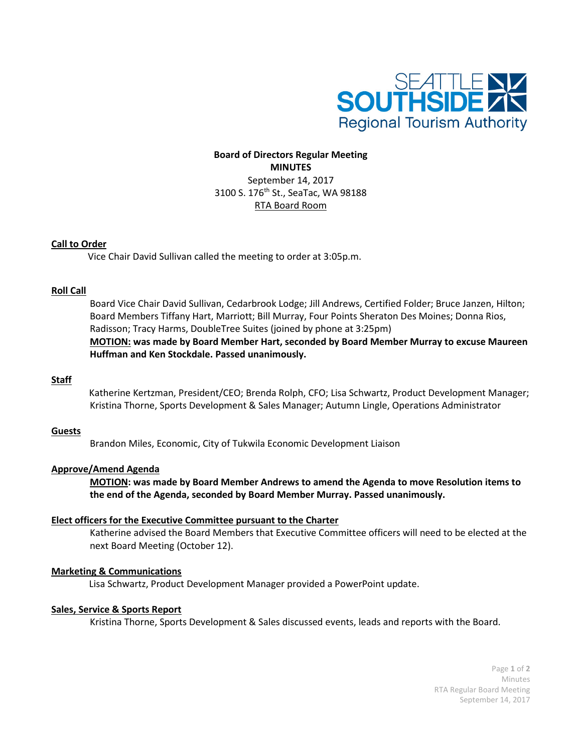

# **Board of Directors Regular Meeting MINUTES** September 14, 2017 3100 S. 176<sup>th</sup> St., SeaTac, WA 98188 RTA Board Room

# **Call to Order**

Vice Chair David Sullivan called the meeting to order at 3:05p.m.

### **Roll Call**

Board Vice Chair David Sullivan, Cedarbrook Lodge; Jill Andrews, Certified Folder; Bruce Janzen, Hilton; Board Members Tiffany Hart, Marriott; Bill Murray, Four Points Sheraton Des Moines; Donna Rios, Radisson; Tracy Harms, DoubleTree Suites (joined by phone at 3:25pm) **MOTION: was made by Board Member Hart, seconded by Board Member Murray to excuse Maureen Huffman and Ken Stockdale. Passed unanimously.**

### **Staff**

Katherine Kertzman, President/CEO; Brenda Rolph, CFO; Lisa Schwartz, Product Development Manager; Kristina Thorne, Sports Development & Sales Manager; Autumn Lingle, Operations Administrator

### **Guests**

Brandon Miles, Economic, City of Tukwila Economic Development Liaison

# **Approve/Amend Agenda**

**MOTION: was made by Board Member Andrews to amend the Agenda to move Resolution items to the end of the Agenda, seconded by Board Member Murray. Passed unanimously.**

### **Elect officers for the Executive Committee pursuant to the Charter**

Katherine advised the Board Members that Executive Committee officers will need to be elected at the next Board Meeting (October 12).

### **Marketing & Communications**

Lisa Schwartz, Product Development Manager provided a PowerPoint update.

# **Sales, Service & Sports Report**

Kristina Thorne, Sports Development & Sales discussed events, leads and reports with the Board.

Page **1** of **2** Minutes RTA Regular Board Meeting September 14, 2017